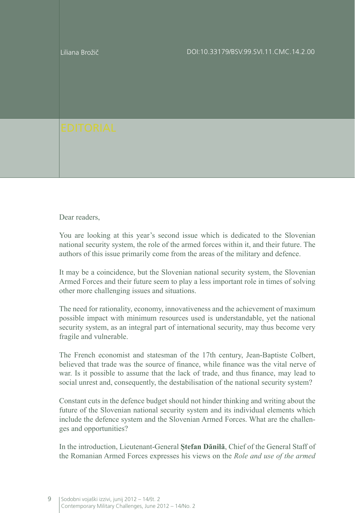

Dear readers.

You are looking at this year's second issue which is dedicated to the Slovenian national security system, the role of the armed forces within it, and their future. The authors of this issue primarily come from the areas of the military and defence.

It may be a coincidence, but the Slovenian national security system, the Slovenian Armed Forces and their future seem to play a less important role in times of solving other more challenging issues and situations.

The need for rationality, economy, innovativeness and the achievement of maximum possible impact with minimum resources used is understandable, yet the national security system, as an integral part of international security, may thus become very fragile and vulnerable.

The French economist and statesman of the 17th century, Jean-Baptiste Colbert, believed that trade was the source of finance, while finance was the vital nerve of war. Is it possible to assume that the lack of trade, and thus finance, may lead to social unrest and, consequently, the destabilisation of the national security system?

Constant cuts in the defence budget should not hinder thinking and writing about the future of the Slovenian national security system and its individual elements which include the defence system and the Slovenian Armed Forces. What are the challenges and opportunities?

In the introduction, Lieutenant-General **Ştefan Dănilă**, Chief of the General Staff of the Romanian Armed Forces expresses his views on the *Role and use of the armed*